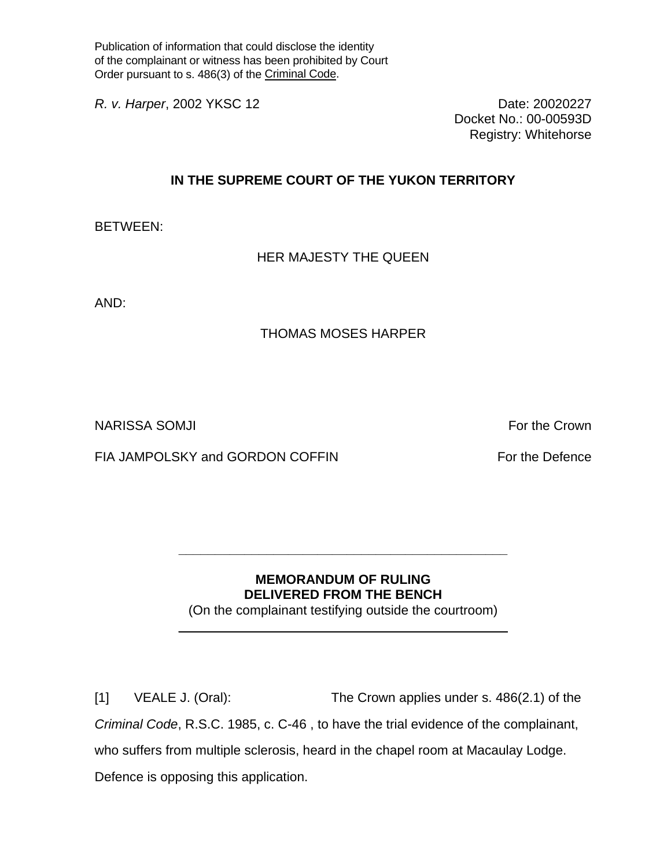Publication of information that could disclose the identity of the complainant or witness has been prohibited by Court Order pursuant to s. 486(3) of the Criminal Code.

*R. v. Harper*, 2002 YKSC 12 Date: 20020227

Docket No.: 00-00593D Registry: Whitehorse

## **IN THE SUPREME COURT OF THE YUKON TERRITORY**

BETWEEN:

HER MAJESTY THE QUEEN

AND:

## THOMAS MOSES HARPER

NARISSA SOMJI For the Crown in the Crown of the Crown in the Crown in the Crown in the Crown in the Crown in the Crown in the Crown in the Crown in the Crown in the Crown in the Crown in the Crown in the Crown in the Crown

FIA JAMPOLSKY and GORDON COFFIN FOR THE PROTOCOLS FOR THE DEFENCE

## **MEMORANDUM OF RULING DELIVERED FROM THE BENCH**

**\_\_\_\_\_\_\_\_\_\_\_\_\_\_\_\_\_\_\_\_\_\_\_\_\_\_\_\_\_\_\_\_\_\_\_\_\_\_\_\_\_\_\_\_\_** 

(On the complainant testifying outside the courtroom)  $\_$  , and the set of the set of the set of the set of the set of the set of the set of the set of the set of the set of the set of the set of the set of the set of the set of the set of the set of the set of the set of th

[1] VEALE J. (Oral): The Crown applies under s. 486(2.1) of the *Criminal Code*, R.S.C. 1985, c. C-46 , to have the trial evidence of the complainant, who suffers from multiple sclerosis, heard in the chapel room at Macaulay Lodge. Defence is opposing this application.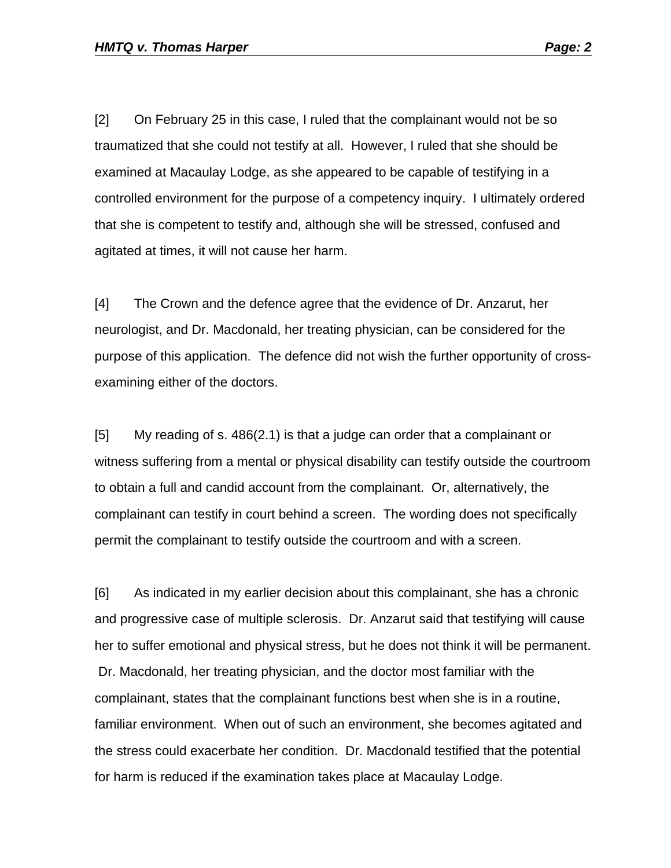[2] On February 25 in this case, I ruled that the complainant would not be so traumatized that she could not testify at all. However, I ruled that she should be examined at Macaulay Lodge, as she appeared to be capable of testifying in a controlled environment for the purpose of a competency inquiry. I ultimately ordered that she is competent to testify and, although she will be stressed, confused and agitated at times, it will not cause her harm.

[4] The Crown and the defence agree that the evidence of Dr. Anzarut, her neurologist, and Dr. Macdonald, her treating physician, can be considered for the purpose of this application. The defence did not wish the further opportunity of crossexamining either of the doctors.

[5] My reading of s. 486(2.1) is that a judge can order that a complainant or witness suffering from a mental or physical disability can testify outside the courtroom to obtain a full and candid account from the complainant. Or, alternatively, the complainant can testify in court behind a screen. The wording does not specifically permit the complainant to testify outside the courtroom and with a screen.

[6] As indicated in my earlier decision about this complainant, she has a chronic and progressive case of multiple sclerosis. Dr. Anzarut said that testifying will cause her to suffer emotional and physical stress, but he does not think it will be permanent. Dr. Macdonald, her treating physician, and the doctor most familiar with the complainant, states that the complainant functions best when she is in a routine, familiar environment. When out of such an environment, she becomes agitated and the stress could exacerbate her condition. Dr. Macdonald testified that the potential for harm is reduced if the examination takes place at Macaulay Lodge.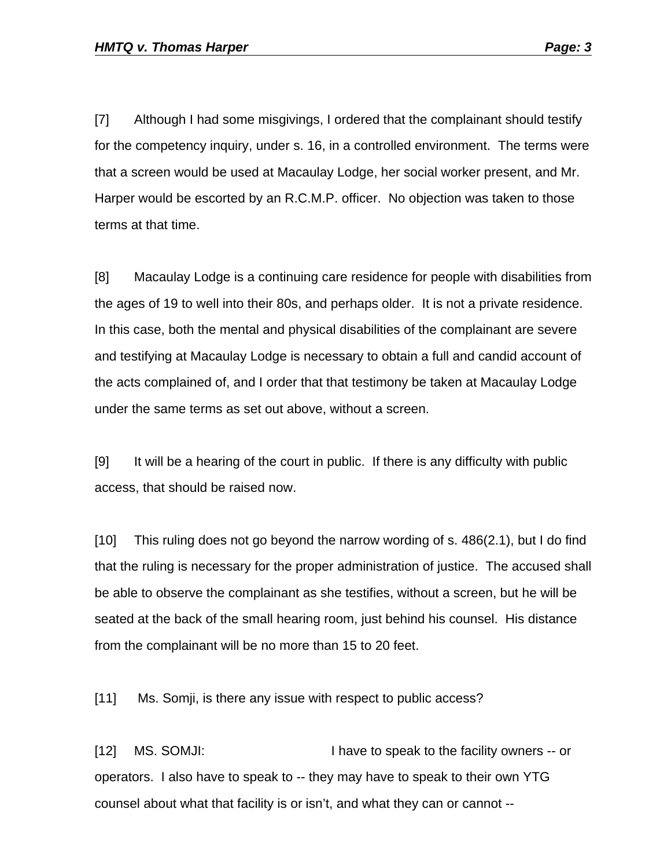[7] Although I had some misgivings, I ordered that the complainant should testify for the competency inquiry, under s. 16, in a controlled environment. The terms were that a screen would be used at Macaulay Lodge, her social worker present, and Mr. Harper would be escorted by an R.C.M.P. officer. No objection was taken to those terms at that time.

[8] Macaulay Lodge is a continuing care residence for people with disabilities from the ages of 19 to well into their 80s, and perhaps older. It is not a private residence. In this case, both the mental and physical disabilities of the complainant are severe and testifying at Macaulay Lodge is necessary to obtain a full and candid account of the acts complained of, and I order that that testimony be taken at Macaulay Lodge under the same terms as set out above, without a screen.

[9] It will be a hearing of the court in public. If there is any difficulty with public access, that should be raised now.

[10] This ruling does not go beyond the narrow wording of s. 486(2.1), but I do find that the ruling is necessary for the proper administration of justice. The accused shall be able to observe the complainant as she testifies, without a screen, but he will be seated at the back of the small hearing room, just behind his counsel. His distance from the complainant will be no more than 15 to 20 feet.

[11] Ms. Somji, is there any issue with respect to public access?

[12] MS. SOMJI: I have to speak to the facility owners -- or operators. I also have to speak to -- they may have to speak to their own YTG counsel about what that facility is or isn't, and what they can or cannot --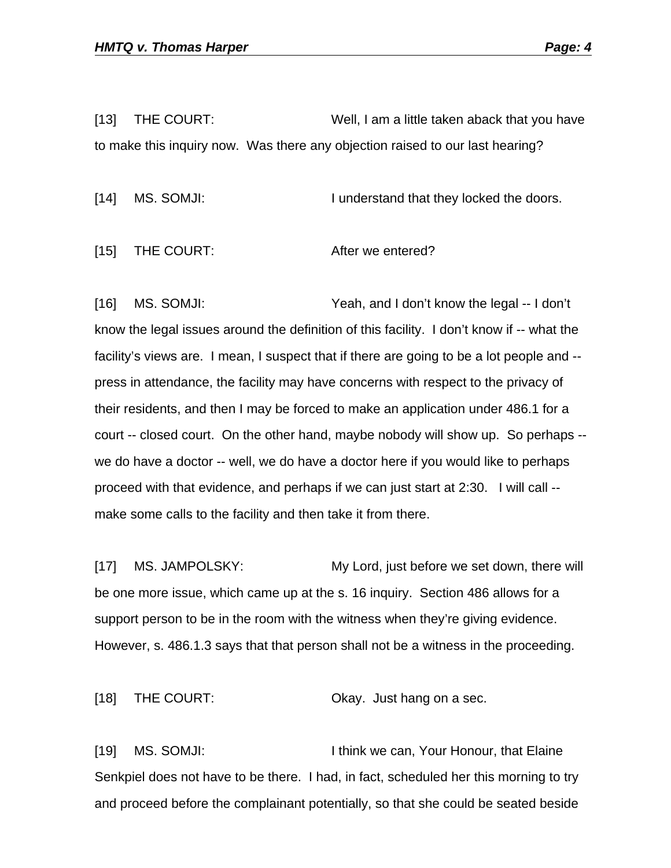[13] THE COURT: Well, I am a little taken aback that you have to make this inquiry now. Was there any objection raised to our last hearing?

[14] MS. SOMJI: I understand that they locked the doors.

[15] THE COURT: After we entered?

[16] MS. SOMJI: Yeah, and I don't know the legal -- I don't know the legal issues around the definition of this facility. I don't know if -- what the facility's views are. I mean, I suspect that if there are going to be a lot people and - press in attendance, the facility may have concerns with respect to the privacy of their residents, and then I may be forced to make an application under 486.1 for a court -- closed court. On the other hand, maybe nobody will show up. So perhaps - we do have a doctor -- well, we do have a doctor here if you would like to perhaps proceed with that evidence, and perhaps if we can just start at 2:30. I will call - make some calls to the facility and then take it from there.

[17] MS. JAMPOLSKY: My Lord, just before we set down, there will be one more issue, which came up at the s. 16 inquiry. Section 486 allows for a support person to be in the room with the witness when they're giving evidence. However, s. 486.1.3 says that that person shall not be a witness in the proceeding.

[18] THE COURT: CREAGIST CONSTRUCT ON A GRAY. Just hang on a sec.

[19] MS. SOMJI: I think we can, Your Honour, that Elaine Senkpiel does not have to be there. I had, in fact, scheduled her this morning to try and proceed before the complainant potentially, so that she could be seated beside